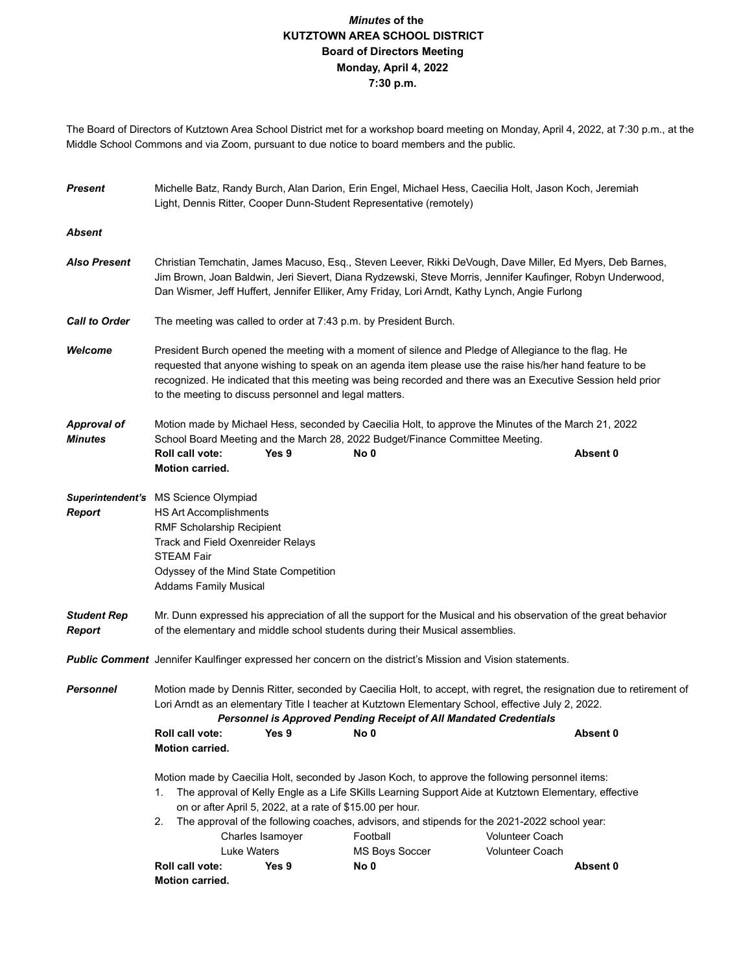## *Minutes* **of the KUTZTOWN AREA SCHOOL DISTRICT Board of Directors Meeting Monday, April 4, 2022 7:30 p.m.**

The Board of Directors of Kutztown Area School District met for a workshop board meeting on Monday, April 4, 2022, at 7:30 p.m., at the Middle School Commons and via Zoom, pursuant to due notice to board members and the public.

| <b>Present</b>                       | Michelle Batz, Randy Burch, Alan Darion, Erin Engel, Michael Hess, Caecilia Holt, Jason Koch, Jeremiah<br>Light, Dennis Ritter, Cooper Dunn-Student Representative (remotely)                                                                                                                                                                                                             |                  |  |                       |  |                        |          |  |  |
|--------------------------------------|-------------------------------------------------------------------------------------------------------------------------------------------------------------------------------------------------------------------------------------------------------------------------------------------------------------------------------------------------------------------------------------------|------------------|--|-----------------------|--|------------------------|----------|--|--|
| <b>Absent</b>                        |                                                                                                                                                                                                                                                                                                                                                                                           |                  |  |                       |  |                        |          |  |  |
| <b>Also Present</b>                  | Christian Temchatin, James Macuso, Esq., Steven Leever, Rikki DeVough, Dave Miller, Ed Myers, Deb Barnes,<br>Jim Brown, Joan Baldwin, Jeri Sievert, Diana Rydzewski, Steve Morris, Jennifer Kaufinger, Robyn Underwood,<br>Dan Wismer, Jeff Huffert, Jennifer Elliker, Amy Friday, Lori Arndt, Kathy Lynch, Angie Furlong                                                                 |                  |  |                       |  |                        |          |  |  |
| <b>Call to Order</b>                 | The meeting was called to order at 7:43 p.m. by President Burch.                                                                                                                                                                                                                                                                                                                          |                  |  |                       |  |                        |          |  |  |
| Welcome                              | President Burch opened the meeting with a moment of silence and Pledge of Allegiance to the flag. He<br>requested that anyone wishing to speak on an agenda item please use the raise his/her hand feature to be<br>recognized. He indicated that this meeting was being recorded and there was an Executive Session held prior<br>to the meeting to discuss personnel and legal matters. |                  |  |                       |  |                        |          |  |  |
| <b>Approval of</b><br><b>Minutes</b> | Motion made by Michael Hess, seconded by Caecilia Holt, to approve the Minutes of the March 21, 2022<br>School Board Meeting and the March 28, 2022 Budget/Finance Committee Meeting.                                                                                                                                                                                                     |                  |  |                       |  |                        |          |  |  |
|                                      | <b>Roll call vote:</b><br><b>Motion carried.</b>                                                                                                                                                                                                                                                                                                                                          | Yes 9            |  | No 0                  |  |                        | Absent 0 |  |  |
| <b>Report</b>                        | Superintendent's MS Science Olympiad<br>HS Art Accomplishments<br>RMF Scholarship Recipient<br><b>Track and Field Oxenreider Relays</b><br><b>STEAM Fair</b><br>Odyssey of the Mind State Competition<br><b>Addams Family Musical</b>                                                                                                                                                     |                  |  |                       |  |                        |          |  |  |
| <b>Student Rep</b><br><b>Report</b>  | Mr. Dunn expressed his appreciation of all the support for the Musical and his observation of the great behavior<br>of the elementary and middle school students during their Musical assemblies.                                                                                                                                                                                         |                  |  |                       |  |                        |          |  |  |
|                                      | <b>Public Comment</b> Jennifer Kaulfinger expressed her concern on the district's Mission and Vision statements.                                                                                                                                                                                                                                                                          |                  |  |                       |  |                        |          |  |  |
| <b>Personnel</b>                     | Motion made by Dennis Ritter, seconded by Caecilia Holt, to accept, with regret, the resignation due to retirement of<br>Lori Arndt as an elementary Title I teacher at Kutztown Elementary School, effective July 2, 2022.<br>Personnel is Approved Pending Receipt of All Mandated Credentials                                                                                          |                  |  |                       |  |                        |          |  |  |
|                                      | Roll call vote:                                                                                                                                                                                                                                                                                                                                                                           | Yes 9            |  | No 0                  |  |                        | Absent 0 |  |  |
|                                      | Motion carried.                                                                                                                                                                                                                                                                                                                                                                           |                  |  |                       |  |                        |          |  |  |
|                                      | Motion made by Caecilia Holt, seconded by Jason Koch, to approve the following personnel items:<br>The approval of Kelly Engle as a Life SKills Learning Support Aide at Kutztown Elementary, effective<br>1.<br>on or after April 5, 2022, at a rate of \$15.00 per hour.<br>The approval of the following coaches, advisors, and stipends for the 2021-2022 school year:<br>2.          |                  |  |                       |  |                        |          |  |  |
|                                      |                                                                                                                                                                                                                                                                                                                                                                                           | Charles Isamoyer |  | Football              |  | <b>Volunteer Coach</b> |          |  |  |
|                                      |                                                                                                                                                                                                                                                                                                                                                                                           | Luke Waters      |  | <b>MS Boys Soccer</b> |  | <b>Volunteer Coach</b> |          |  |  |
|                                      | Roll call vote:<br>Motion carried.                                                                                                                                                                                                                                                                                                                                                        | Yes 9            |  | No 0                  |  |                        | Absent 0 |  |  |